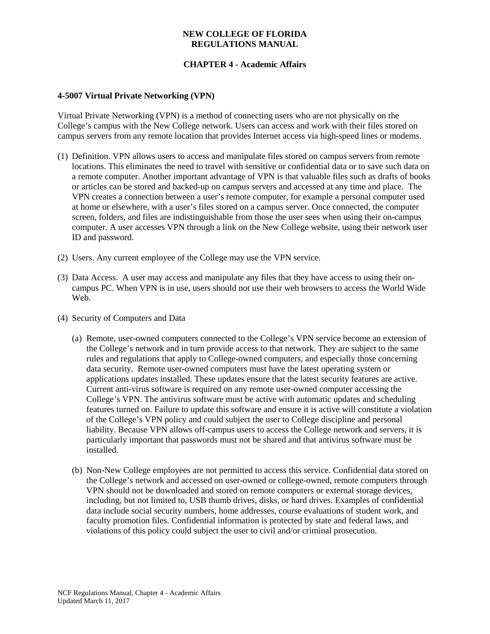### **NEW COLLEGE OF FLORIDA REGULATIONS MANUAL**

# **CHAPTER 4 - Academic Affairs**

### **4-5007 Virtual Private Networking (VPN)**

Virtual Private Networking (VPN) is a method of connecting users who are not physically on the College's campus with the New College network. Users can access and work with their files stored on campus servers from any remote location that provides Internet access via high-speed lines or modems.

- (1) Definition. VPN allows users to access and manipulate files stored on campus servers from remote locations. This eliminates the need to travel with sensitive or confidential data or to save such data on a remote computer. Another important advantage of VPN is that valuable files such as drafts of books or articles can be stored and backed-up on campus servers and accessed at any time and place. The VPN creates a connection between a user's remote computer, for example a personal computer used at home or elsewhere, with a user's files stored on a campus server. Once connected, the computer screen, folders, and files are indistinguishable from those the user sees when using their on-campus computer. A user accesses VPN through a link on the New College website, using their network user ID and password.
- (2) Users. Any current employee of the College may use the VPN service.
- (3) Data Access. A user may access and manipulate any files that they have access to using their oncampus PC. When VPN is in use, users should not use their web browsers to access the World Wide Web.
- (4) Security of Computers and Data
	- (a) Remote, user-owned computers connected to the College's VPN service become an extension of the College's network and in turn provide access to that network. They are subject to the same rules and regulations that apply to College-owned computers, and especially those concerning data security. Remote user-owned computers must have the latest operating system or applications updates installed. These updates ensure that the latest security features are active. Current anti-virus software is required on any remote user-owned computer accessing the College's VPN. The antivirus software must be active with automatic updates and scheduling features turned on. Failure to update this software and ensure it is active will constitute a violation of the College's VPN policy and could subject the user to College discipline and personal liability. Because VPN allows off-campus users to access the College network and servers, it is particularly important that passwords must not be shared and that antivirus software must be installed.
	- (b) Non-New College employees are not permitted to access this service. Confidential data stored on the College's network and accessed on user-owned or college-owned, remote computers through VPN should not be downloaded and stored on remote computers or external storage devices, including, but not limited to, USB thumb drives, disks, or hard drives. Examples of confidential data include social security numbers, home addresses, course evaluations of student work, and faculty promotion files. Confidential information is protected by state and federal laws, and violations of this policy could subject the user to civil and/or criminal prosecution.